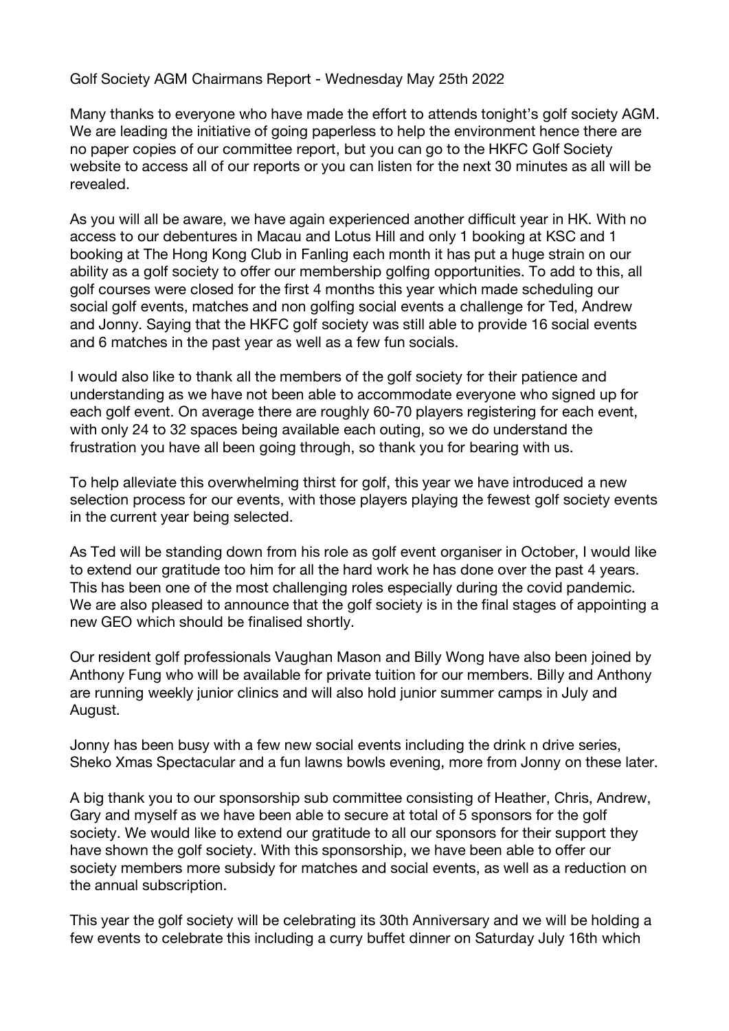Golf Society AGM Chairmans Report - Wednesday May 25th 2022

Many thanks to everyone who have made the effort to attends tonight's golf society AGM. We are leading the initiative of going paperless to help the environment hence there are no paper copies of our committee report, but you can go to the HKFC Golf Society website to access all of our reports or you can listen for the next 30 minutes as all will be revealed.

As you will all be aware, we have again experienced another difficult year in HK. With no access to our debentures in Macau and Lotus Hill and only 1 booking at KSC and 1 booking at The Hong Kong Club in Fanling each month it has put a huge strain on our ability as a golf society to offer our membership golfing opportunities. To add to this, all golf courses were closed for the first 4 months this year which made scheduling our social golf events, matches and non golfing social events a challenge for Ted, Andrew and Jonny. Saying that the HKFC golf society was still able to provide 16 social events and 6 matches in the past year as well as a few fun socials.

I would also like to thank all the members of the golf society for their patience and understanding as we have not been able to accommodate everyone who signed up for each golf event. On average there are roughly 60-70 players registering for each event, with only 24 to 32 spaces being available each outing, so we do understand the frustration you have all been going through, so thank you for bearing with us.

To help alleviate this overwhelming thirst for golf, this year we have introduced a new selection process for our events, with those players playing the fewest golf society events in the current year being selected.

As Ted will be standing down from his role as golf event organiser in October, I would like to extend our gratitude too him for all the hard work he has done over the past 4 years. This has been one of the most challenging roles especially during the covid pandemic. We are also pleased to announce that the golf society is in the final stages of appointing a new GEO which should be finalised shortly.

Our resident golf professionals Vaughan Mason and Billy Wong have also been joined by Anthony Fung who will be available for private tuition for our members. Billy and Anthony are running weekly junior clinics and will also hold junior summer camps in July and August.

Jonny has been busy with a few new social events including the drink n drive series, Sheko Xmas Spectacular and a fun lawns bowls evening, more from Jonny on these later.

A big thank you to our sponsorship sub committee consisting of Heather, Chris, Andrew, Gary and myself as we have been able to secure at total of 5 sponsors for the golf society. We would like to extend our gratitude to all our sponsors for their support they have shown the golf society. With this sponsorship, we have been able to offer our society members more subsidy for matches and social events, as well as a reduction on the annual subscription.

This year the golf society will be celebrating its 30th Anniversary and we will be holding a few events to celebrate this including a curry buffet dinner on Saturday July 16th which